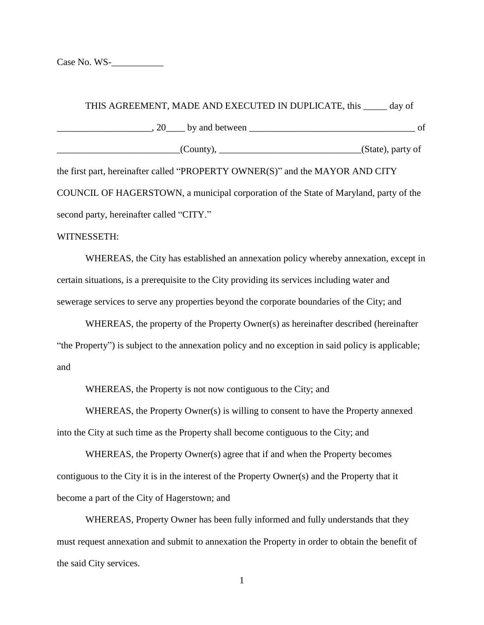Case No. WS-

## THIS AGREEMENT, MADE AND EXECUTED IN DUPLICATE, this day of  $\Box$ , 20 by and between  $\Box$ \_\_\_\_\_\_\_\_\_\_\_\_\_\_\_\_\_\_\_\_\_\_\_\_\_\_(County), \_\_\_\_\_\_\_\_\_\_\_\_\_\_\_\_\_\_\_\_\_\_\_\_\_\_\_\_\_\_(State), party of the first part, hereinafter called "PROPERTY OWNER(S)" and the MAYOR AND CITY

COUNCIL OF HAGERSTOWN, a municipal corporation of the State of Maryland, party of the second party, hereinafter called "CITY."

## WITNESSETH:

WHEREAS, the City has established an annexation policy whereby annexation, except in certain situations, is a prerequisite to the City providing its services including water and sewerage services to serve any properties beyond the corporate boundaries of the City; and

WHEREAS, the property of the Property Owner(s) as hereinafter described (hereinafter "the Property") is subject to the annexation policy and no exception in said policy is applicable; and

WHEREAS, the Property is not now contiguous to the City; and

WHEREAS, the Property Owner(s) is willing to consent to have the Property annexed into the City at such time as the Property shall become contiguous to the City; and

WHEREAS, the Property Owner(s) agree that if and when the Property becomes contiguous to the City it is in the interest of the Property Owner(s) and the Property that it become a part of the City of Hagerstown; and

WHEREAS, Property Owner has been fully informed and fully understands that they must request annexation and submit to annexation the Property in order to obtain the benefit of the said City services.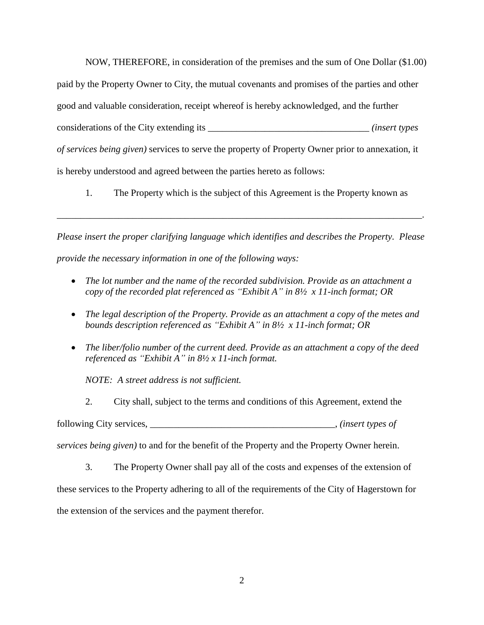NOW, THEREFORE, in consideration of the premises and the sum of One Dollar (\$1.00) paid by the Property Owner to City, the mutual covenants and promises of the parties and other good and valuable consideration, receipt whereof is hereby acknowledged, and the further considerations of the City extending its \_\_\_\_\_\_\_\_\_\_\_\_\_\_\_\_\_\_\_\_\_\_\_\_\_\_\_\_\_\_\_\_\_\_ *(insert types of services being given)* services to serve the property of Property Owner prior to annexation, it is hereby understood and agreed between the parties hereto as follows:

1. The Property which is the subject of this Agreement is the Property known as

*Please insert the proper clarifying language which identifies and describes the Property. Please provide the necessary information in one of the following ways:*

\_\_\_\_\_\_\_\_\_\_\_\_\_\_\_\_\_\_\_\_\_\_\_\_\_\_\_\_\_\_\_\_\_\_\_\_\_\_\_\_\_\_\_\_\_\_\_\_\_\_\_\_\_\_\_\_\_\_\_\_\_\_\_\_\_\_\_\_\_\_\_\_\_\_\_\_\_.

- *The lot number and the name of the recorded subdivision. Provide as an attachment a copy of the recorded plat referenced as "Exhibit A" in 8½ x 11-inch format; OR*
- *The legal description of the Property. Provide as an attachment a copy of the metes and bounds description referenced as "Exhibit A" in 8½ x 11-inch format; OR*
- *The liber/folio number of the current deed. Provide as an attachment a copy of the deed referenced as "Exhibit A" in 8½ x 11-inch format.*

*NOTE: A street address is not sufficient.*

2. City shall, subject to the terms and conditions of this Agreement, extend the following City services, \_\_\_\_\_\_\_\_\_\_\_\_\_\_\_\_\_\_\_\_\_\_\_\_\_\_\_\_\_\_\_\_\_\_\_\_\_\_\_, *(insert types of* 

*services being given)* to and for the benefit of the Property and the Property Owner herein.

3. The Property Owner shall pay all of the costs and expenses of the extension of these services to the Property adhering to all of the requirements of the City of Hagerstown for the extension of the services and the payment therefor.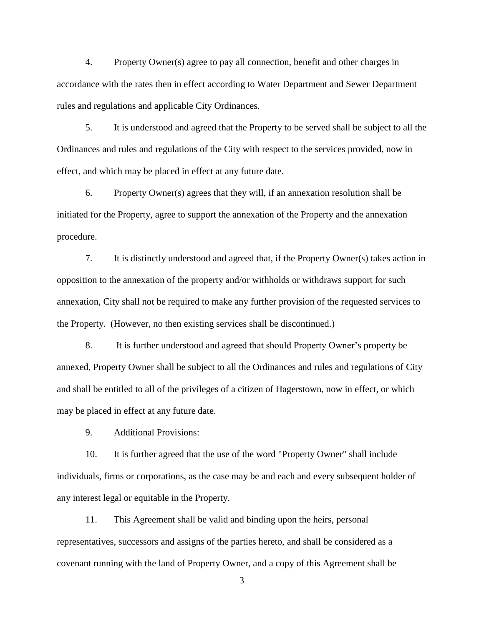4. Property Owner(s) agree to pay all connection, benefit and other charges in accordance with the rates then in effect according to Water Department and Sewer Department rules and regulations and applicable City Ordinances.

5. It is understood and agreed that the Property to be served shall be subject to all the Ordinances and rules and regulations of the City with respect to the services provided, now in effect, and which may be placed in effect at any future date.

6. Property Owner(s) agrees that they will, if an annexation resolution shall be initiated for the Property, agree to support the annexation of the Property and the annexation procedure.

7. It is distinctly understood and agreed that, if the Property Owner(s) takes action in opposition to the annexation of the property and/or withholds or withdraws support for such annexation, City shall not be required to make any further provision of the requested services to the Property. (However, no then existing services shall be discontinued.)

8. It is further understood and agreed that should Property Owner's property be annexed, Property Owner shall be subject to all the Ordinances and rules and regulations of City and shall be entitled to all of the privileges of a citizen of Hagerstown, now in effect, or which may be placed in effect at any future date.

9. Additional Provisions:

10. It is further agreed that the use of the word "Property Owner" shall include individuals, firms or corporations, as the case may be and each and every subsequent holder of any interest legal or equitable in the Property.

11. This Agreement shall be valid and binding upon the heirs, personal representatives, successors and assigns of the parties hereto, and shall be considered as a covenant running with the land of Property Owner, and a copy of this Agreement shall be

3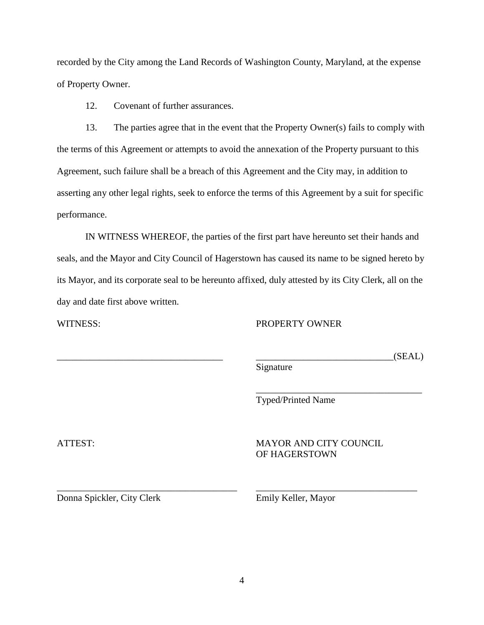recorded by the City among the Land Records of Washington County, Maryland, at the expense of Property Owner.

12. Covenant of further assurances.

13. The parties agree that in the event that the Property Owner(s) fails to comply with the terms of this Agreement or attempts to avoid the annexation of the Property pursuant to this Agreement, such failure shall be a breach of this Agreement and the City may, in addition to asserting any other legal rights, seek to enforce the terms of this Agreement by a suit for specific performance.

IN WITNESS WHEREOF, the parties of the first part have hereunto set their hands and seals, and the Mayor and City Council of Hagerstown has caused its name to be signed hereto by its Mayor, and its corporate seal to be hereunto affixed, duly attested by its City Clerk, all on the day and date first above written.

WITNESS: PROPERTY OWNER

\_\_\_\_\_\_\_\_\_\_\_\_\_\_\_\_\_\_\_\_\_\_\_\_\_\_\_\_\_\_\_\_\_\_\_ \_\_\_\_\_\_\_\_\_\_\_\_\_\_\_\_\_\_\_\_\_\_\_\_\_\_\_\_\_(SEAL)

Signature

Typed/Printed Name

ATTEST: MAYOR AND CITY COUNCIL OF HAGERSTOWN

\_\_\_\_\_\_\_\_\_\_\_\_\_\_\_\_\_\_\_\_\_\_\_\_\_\_\_\_\_\_\_\_\_\_\_

Donna Spickler, City Clerk Emily Keller, Mayor

\_\_\_\_\_\_\_\_\_\_\_\_\_\_\_\_\_\_\_\_\_\_\_\_\_\_\_\_\_\_\_\_\_\_\_\_\_\_ \_\_\_\_\_\_\_\_\_\_\_\_\_\_\_\_\_\_\_\_\_\_\_\_\_\_\_\_\_\_\_\_\_\_